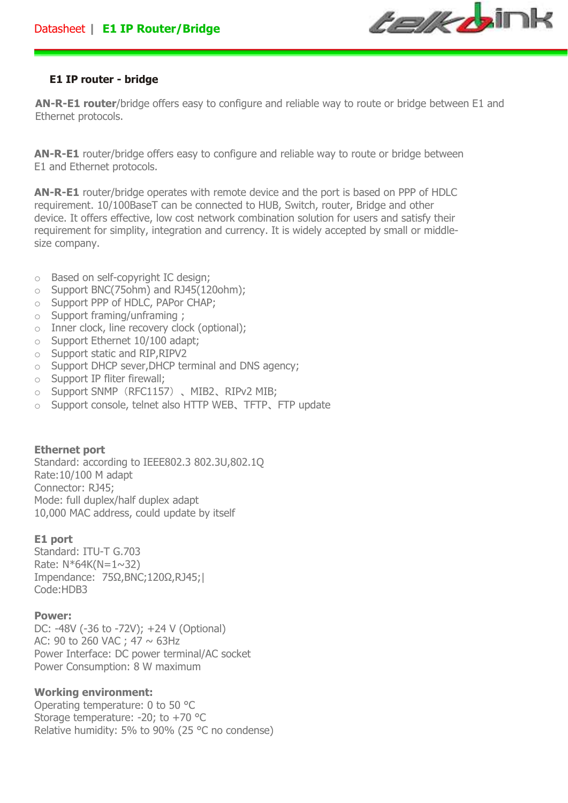

### **E1 IP router - bridge**

**AN-R-E1 router**/bridge offers easy to configure and reliable way to route or bridge between E1 and Ethernet protocols.

**AN-R-E1** router/bridge offers easy to configure and reliable way to route or bridge between E1 and Ethernet protocols.

**AN-R-E1** router/bridge operates with remote device and the port is based on PPP of HDLC requirement. 10/100BaseT can be connected to HUB, Switch, router, Bridge and other device. It offers effective, low cost network combination solution for users and satisfy their requirement for simplity, integration and currency. It is widely accepted by small or middlesize company.

- o Based on self-copyright IC design;
- o Support BNC(75ohm) and RJ45(120ohm);
- o Support PPP of HDLC, PAPor CHAP;
- o Support framing/unframing ;
- o Inner clock, line recovery clock (optional);
- o Support Ethernet 10/100 adapt;
- o Support static and RIP,RIPV2
- o Support DHCP sever,DHCP terminal and DNS agency;
- o Support IP fliter firewall;
- o Support SNMP(RFC1157)、MIB2、RIPv2 MIB;
- o Support console, telnet also HTTP WEB、TFTP、FTP update

# **Ethernet port**

Standard: according to IEEE802.3 802.3U,802.1Q Rate:10/100 M adapt Connector: RJ45; Mode: full duplex/half duplex adapt 10,000 MAC address, could update by itself

# **E1 port**

Standard: ITU-T G.703 Rate:  $N*64K(N=1~32)$ Impendance: 75Ω,BNC;120Ω,RJ45;| Code:HDB3

### **Power:**

DC: -48V (-36 to -72V); +24 V (Optional) AC: 90 to 260 VAC; 47  $\sim$  63Hz Power Interface: DC power terminal/AC socket Power Consumption: 8 W maximum

# **Working environment:**

Operating temperature: 0 to 50 °C Storage temperature: -20; to +70 °C Relative humidity: 5% to 90% (25 °C no condense)